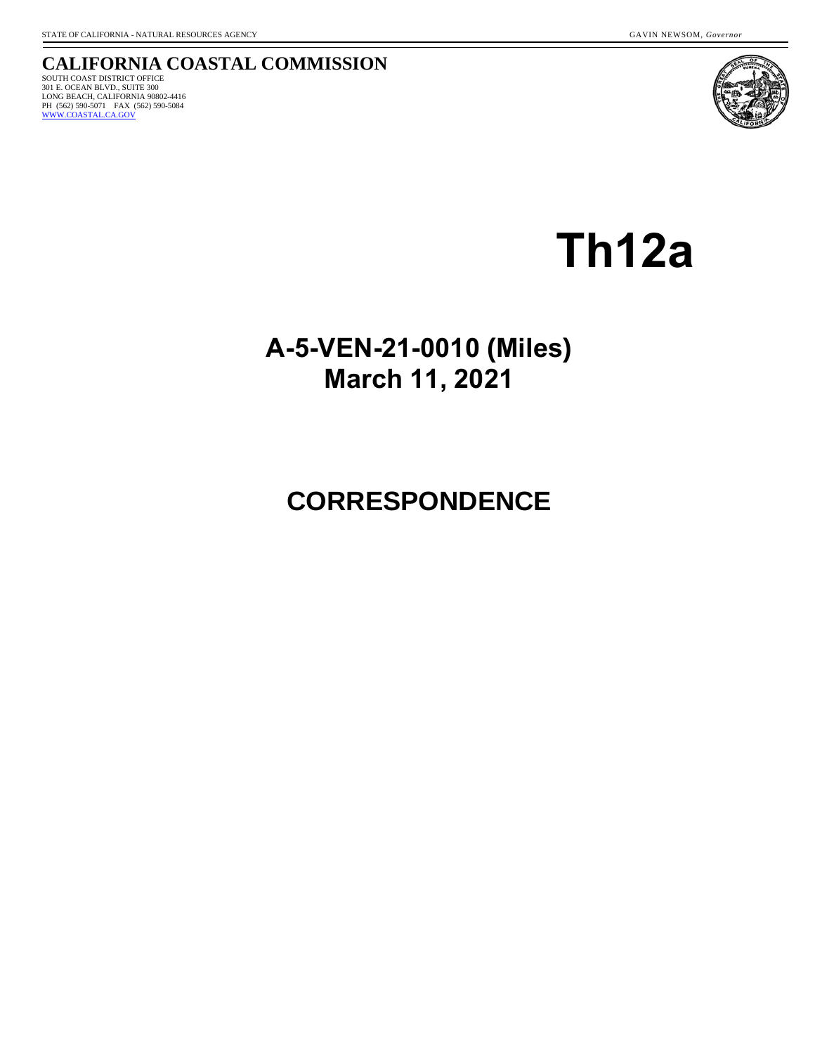#### **CALIFORNIA COASTAL COMMISSION** SOUTH COAST DISTRICT OFFICE 301 E. OCEAN BLVD., SUITE 300 LONG BEACH, CALIFORNIA 90802-4416<br>PH (562) 590-5071 FAX (562) 590-5084<br><u>[WWW.COASTAL.CA.GOV](http://www.coastal.ca.gov/)</u>



**Th12a**

## **A-5-VEN-21-0010 (Miles) March 11, 2021**

# **CORRESPONDENCE**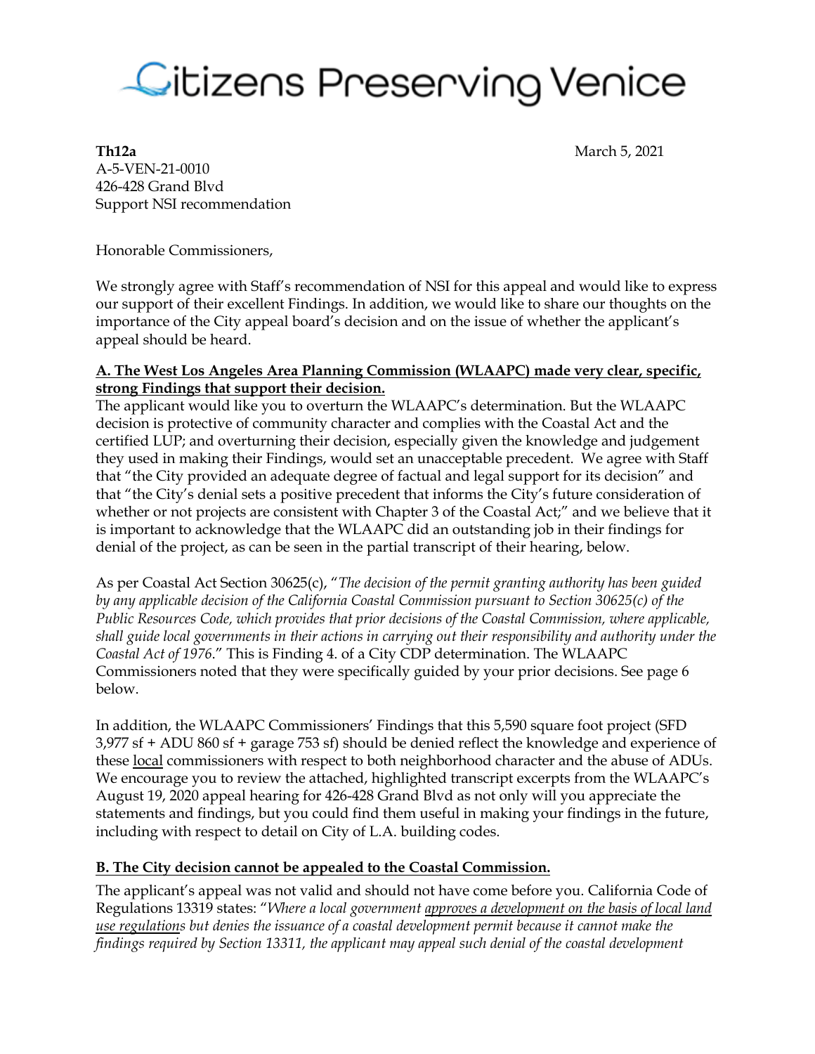

**Th12a** March 5, 2021

A-5-VEN-21-0010 426-428 Grand Blvd Support NSI recommendation

Honorable Commissioners,

We strongly agree with Staff's recommendation of NSI for this appeal and would like to express our support of their excellent Findings. In addition, we would like to share our thoughts on the importance of the City appeal board's decision and on the issue of whether the applicant's appeal should be heard.

#### **A. The West Los Angeles Area Planning Commission (WLAAPC) made very clear, specific, strong Findings that support their decision.**

The applicant would like you to overturn the WLAAPC's determination. But the WLAAPC decision is protective of community character and complies with the Coastal Act and the certified LUP; and overturning their decision, especially given the knowledge and judgement they used in making their Findings, would set an unacceptable precedent. We agree with Staff that "the City provided an adequate degree of factual and legal support for its decision" and that "the City's denial sets a positive precedent that informs the City's future consideration of whether or not projects are consistent with Chapter 3 of the Coastal Act;" and we believe that it is important to acknowledge that the WLAAPC did an outstanding job in their findings for denial of the project, as can be seen in the partial transcript of their hearing, below.

As per Coastal Act Section 30625(c), "*The decision of the permit granting authority has been guided by any applicable decision of the California Coastal Commission pursuant to Section 30625(c) of the Public Resources Code, which provides that prior decisions of the Coastal Commission, where applicable, shall guide local governments in their actions in carrying out their responsibility and authority under the Coastal Act of 1976*." This is Finding 4. of a City CDP determination. The WLAAPC Commissioners noted that they were specifically guided by your prior decisions. See page 6 below.

In addition, the WLAAPC Commissioners' Findings that this 5,590 square foot project (SFD 3,977 sf + ADU 860 sf + garage 753 sf) should be denied reflect the knowledge and experience of these local commissioners with respect to both neighborhood character and the abuse of ADUs. We encourage you to review the attached, highlighted transcript excerpts from the WLAAPC's August 19, 2020 appeal hearing for 426-428 Grand Blvd as not only will you appreciate the statements and findings, but you could find them useful in making your findings in the future, including with respect to detail on City of L.A. building codes.

#### **B. The City decision cannot be appealed to the Coastal Commission.**

The applicant's appeal was not valid and should not have come before you. California Code of Regulations 13319 states: "*Where a local government approves a development on the basis of local land use regulations but denies the issuance of a coastal development permit because it cannot make the findings required by Section 13311, the applicant may appeal such denial of the coastal development*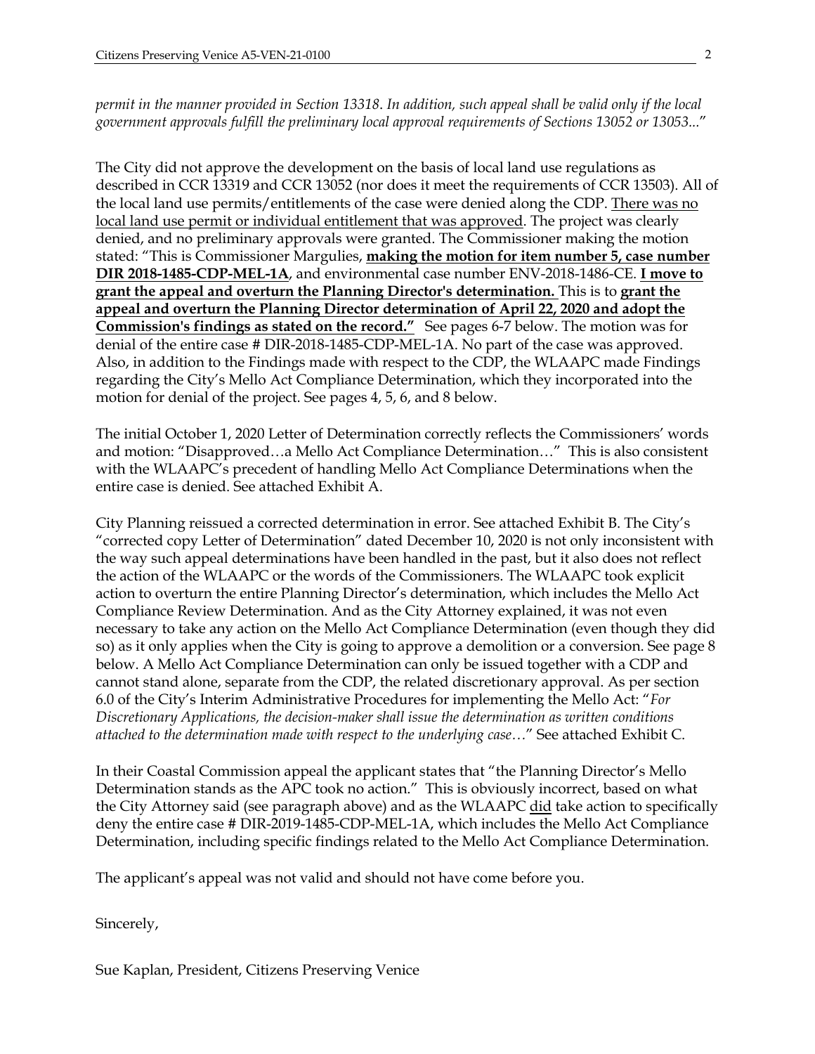*permit in the manner provided in Section 13318*. *In addition, such appeal shall be valid only if the local government approvals fulfill the preliminary local approval requirements of Sections 13052 or 13053...*"

The City did not approve the development on the basis of local land use regulations as described in CCR 13319 and CCR 13052 (nor does it meet the requirements of CCR 13503). All of the local land use permits/entitlements of the case were denied along the CDP. There was no local land use permit or individual entitlement that was approved. The project was clearly denied, and no preliminary approvals were granted. The Commissioner making the motion stated: "This is Commissioner Margulies, **making the motion for item number 5, case number DIR 2018-1485-CDP-MEL-1A**, and environmental case number ENV-2018-1486-CE. **I move to grant the appeal and overturn the Planning Director's determination.** This is to **grant the appeal and overturn the Planning Director determination of April 22, 2020 and adopt the Commission's findings as stated on the record."** See pages 6-7 below. The motion was for denial of the entire case # DIR-2018-1485-CDP-MEL-1A. No part of the case was approved. Also, in addition to the Findings made with respect to the CDP, the WLAAPC made Findings regarding the City's Mello Act Compliance Determination, which they incorporated into the motion for denial of the project. See pages 4, 5, 6, and 8 below.

The initial October 1, 2020 Letter of Determination correctly reflects the Commissioners' words and motion: "Disapproved…a Mello Act Compliance Determination…" This is also consistent with the WLAAPC's precedent of handling Mello Act Compliance Determinations when the entire case is denied. See attached Exhibit A.

City Planning reissued a corrected determination in error. See attached Exhibit B. The City's "corrected copy Letter of Determination" dated December 10, 2020 is not only inconsistent with the way such appeal determinations have been handled in the past, but it also does not reflect the action of the WLAAPC or the words of the Commissioners. The WLAAPC took explicit action to overturn the entire Planning Director's determination, which includes the Mello Act Compliance Review Determination. And as the City Attorney explained, it was not even necessary to take any action on the Mello Act Compliance Determination (even though they did so) as it only applies when the City is going to approve a demolition or a conversion. See page 8 below. A Mello Act Compliance Determination can only be issued together with a CDP and cannot stand alone, separate from the CDP, the related discretionary approval. As per section 6.0 of the City's Interim Administrative Procedures for implementing the Mello Act: "*For Discretionary Applications, the decision-maker shall issue the determination as written conditions attached to the determination made with respect to the underlying case…*" See attached Exhibit C.

In their Coastal Commission appeal the applicant states that "the Planning Director's Mello Determination stands as the APC took no action." This is obviously incorrect, based on what the City Attorney said (see paragraph above) and as the WLAAPC did take action to specifically deny the entire case # DIR-2019-1485-CDP-MEL-1A, which includes the Mello Act Compliance Determination, including specific findings related to the Mello Act Compliance Determination.

The applicant's appeal was not valid and should not have come before you.

Sincerely,

Sue Kaplan, President, Citizens Preserving Venice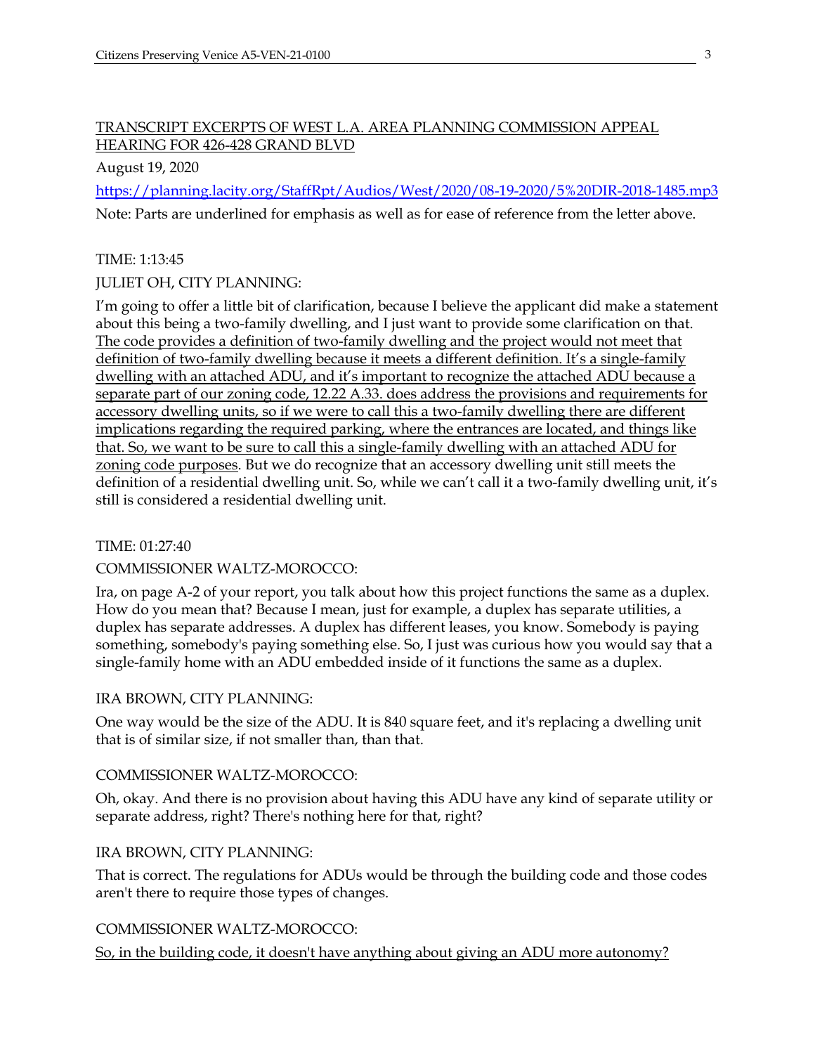#### TRANSCRIPT EXCERPTS OF WEST L.A. AREA PLANNING COMMISSION APPEAL HEARING FOR 426-428 GRAND BLVD

August 19, 2020

https://planning.lacity.org/StaffRpt/Audios/West/2020/08-19-2020/5%20DIR-2018-1485.mp3

Note: Parts are underlined for emphasis as well as for ease of reference from the letter above.

#### TIME: 1:13:45

#### JULIET OH, CITY PLANNING:

I'm going to offer a little bit of clarification, because I believe the applicant did make a statement about this being a two-family dwelling, and I just want to provide some clarification on that. The code provides a definition of two-family dwelling and the project would not meet that definition of two-family dwelling because it meets a different definition. It's a single-family dwelling with an attached ADU, and it's important to recognize the attached ADU because a separate part of our zoning code, 12.22 A.33. does address the provisions and requirements for accessory dwelling units, so if we were to call this a two-family dwelling there are different implications regarding the required parking, where the entrances are located, and things like that. So, we want to be sure to call this a single-family dwelling with an attached ADU for zoning code purposes. But we do recognize that an accessory dwelling unit still meets the definition of a residential dwelling unit. So, while we can't call it a two-family dwelling unit, it's still is considered a residential dwelling unit.

TIME: 01:27:40

#### COMMISSIONER WALTZ-MOROCCO:

Ira, on page A-2 of your report, you talk about how this project functions the same as a duplex. How do you mean that? Because I mean, just for example, a duplex has separate utilities, a duplex has separate addresses. A duplex has different leases, you know. Somebody is paying something, somebody's paying something else. So, I just was curious how you would say that a single-family home with an ADU embedded inside of it functions the same as a duplex.

#### IRA BROWN, CITY PLANNING:

One way would be the size of the ADU. It is 840 square feet, and it's replacing a dwelling unit that is of similar size, if not smaller than, than that.

#### COMMISSIONER WALTZ-MOROCCO:

Oh, okay. And there is no provision about having this ADU have any kind of separate utility or separate address, right? There's nothing here for that, right?

#### IRA BROWN, CITY PLANNING:

That is correct. The regulations for ADUs would be through the building code and those codes aren't there to require those types of changes.

#### COMMISSIONER WALTZ-MOROCCO:

So, in the building code, it doesn't have anything about giving an ADU more autonomy?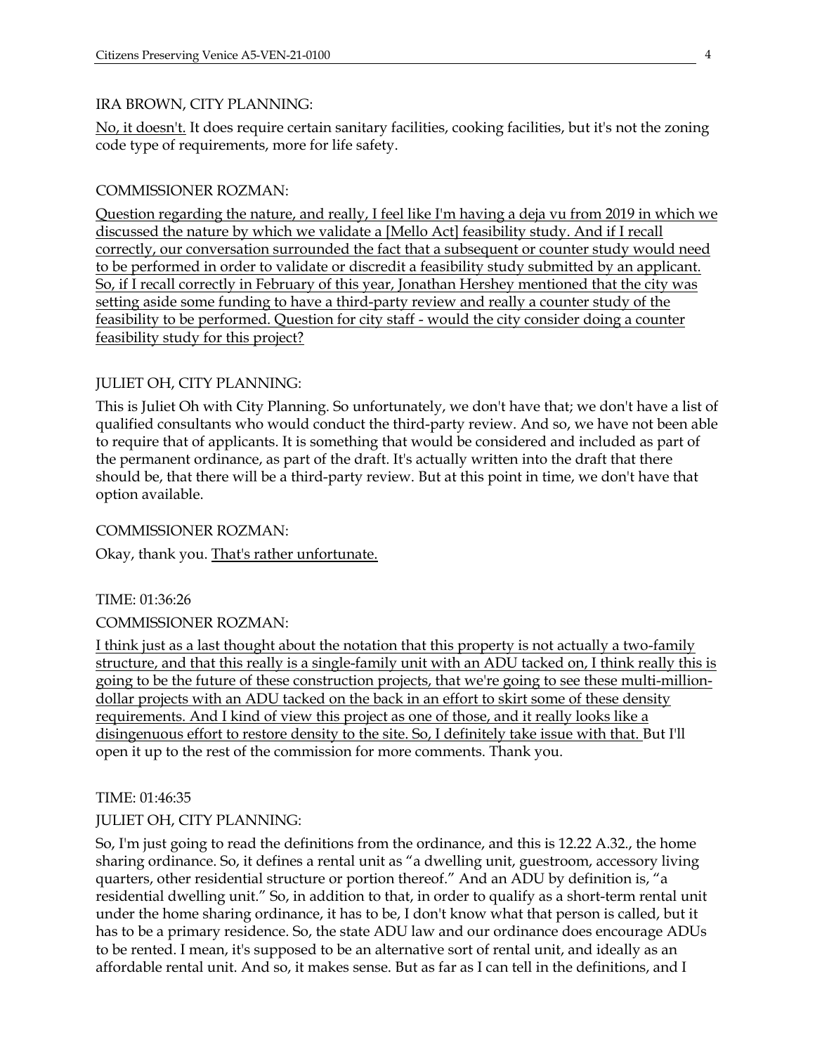#### IRA BROWN, CITY PLANNING:

No, it doesn't. It does require certain sanitary facilities, cooking facilities, but it's not the zoning code type of requirements, more for life safety.

#### COMMISSIONER ROZMAN:

Question regarding the nature, and really, I feel like I'm having a deja vu from 2019 in which we discussed the nature by which we validate a [Mello Act] feasibility study. And if I recall correctly, our conversation surrounded the fact that a subsequent or counter study would need to be performed in order to validate or discredit a feasibility study submitted by an applicant. So, if I recall correctly in February of this year, Jonathan Hershey mentioned that the city was setting aside some funding to have a third-party review and really a counter study of the feasibility to be performed. Question for city staff - would the city consider doing a counter feasibility study for this project?

#### JULIET OH, CITY PLANNING:

This is Juliet Oh with City Planning. So unfortunately, we don't have that; we don't have a list of qualified consultants who would conduct the third-party review. And so, we have not been able to require that of applicants. It is something that would be considered and included as part of the permanent ordinance, as part of the draft. It's actually written into the draft that there should be, that there will be a third-party review. But at this point in time, we don't have that option available.

#### COMMISSIONER ROZMAN:

Okay, thank you. That's rather unfortunate.

TIME: 01:36:26

#### COMMISSIONER ROZMAN:

I think just as a last thought about the notation that this property is not actually a two-family structure, and that this really is a single-family unit with an ADU tacked on, I think really this is going to be the future of these construction projects, that we're going to see these multi-milliondollar projects with an ADU tacked on the back in an effort to skirt some of these density requirements. And I kind of view this project as one of those, and it really looks like a disingenuous effort to restore density to the site. So, I definitely take issue with that. But I'll open it up to the rest of the commission for more comments. Thank you.

#### TIME: 01:46:35

#### JULIET OH, CITY PLANNING:

So, I'm just going to read the definitions from the ordinance, and this is 12.22 A.32., the home sharing ordinance. So, it defines a rental unit as "a dwelling unit, guestroom, accessory living quarters, other residential structure or portion thereof." And an ADU by definition is, "a residential dwelling unit." So, in addition to that, in order to qualify as a short-term rental unit under the home sharing ordinance, it has to be, I don't know what that person is called, but it has to be a primary residence. So, the state ADU law and our ordinance does encourage ADUs to be rented. I mean, it's supposed to be an alternative sort of rental unit, and ideally as an affordable rental unit. And so, it makes sense. But as far as I can tell in the definitions, and I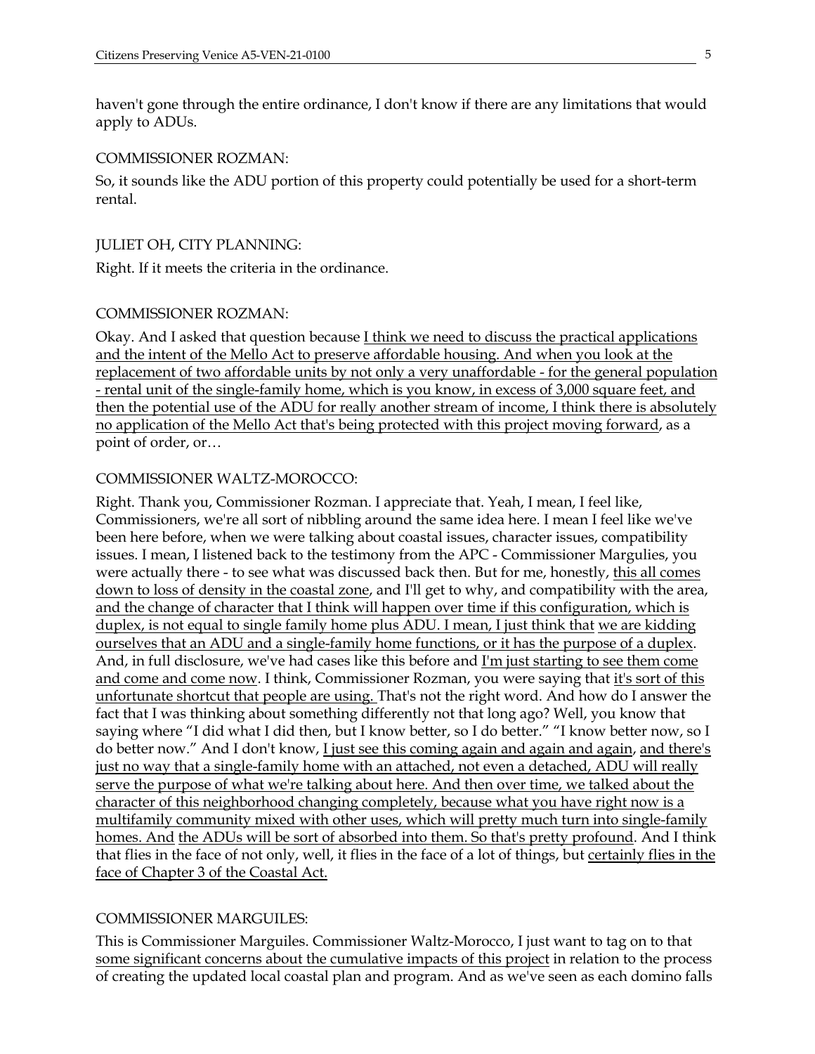haven't gone through the entire ordinance, I don't know if there are any limitations that would apply to ADUs.

#### COMMISSIONER ROZMAN:

So, it sounds like the ADU portion of this property could potentially be used for a short-term rental.

#### JULIET OH, CITY PLANNING:

Right. If it meets the criteria in the ordinance.

#### COMMISSIONER ROZMAN:

Okay. And I asked that question because I think we need to discuss the practical applications and the intent of the Mello Act to preserve affordable housing. And when you look at the replacement of two affordable units by not only a very unaffordable - for the general population - rental unit of the single-family home, which is you know, in excess of 3,000 square feet, and then the potential use of the ADU for really another stream of income, I think there is absolutely no application of the Mello Act that's being protected with this project moving forward, as a point of order, or…

#### COMMISSIONER WALTZ-MOROCCO:

Right. Thank you, Commissioner Rozman. I appreciate that. Yeah, I mean, I feel like, Commissioners, we're all sort of nibbling around the same idea here. I mean I feel like we've been here before, when we were talking about coastal issues, character issues, compatibility issues. I mean, I listened back to the testimony from the APC - Commissioner Margulies, you were actually there - to see what was discussed back then. But for me, honestly, this all comes down to loss of density in the coastal zone, and I'll get to why, and compatibility with the area, and the change of character that I think will happen over time if this configuration, which is duplex, is not equal to single family home plus ADU. I mean, I just think that we are kidding ourselves that an ADU and a single-family home functions, or it has the purpose of a duplex. And, in full disclosure, we've had cases like this before and I'm just starting to see them come and come and come now. I think, Commissioner Rozman, you were saying that it's sort of this unfortunate shortcut that people are using. That's not the right word. And how do I answer the fact that I was thinking about something differently not that long ago? Well, you know that saying where "I did what I did then, but I know better, so I do better." "I know better now, so I do better now." And I don't know, I just see this coming again and again and again, and there's just no way that a single-family home with an attached, not even a detached, ADU will really serve the purpose of what we're talking about here. And then over time, we talked about the character of this neighborhood changing completely, because what you have right now is a multifamily community mixed with other uses, which will pretty much turn into single-family homes. And the ADUs will be sort of absorbed into them. So that's pretty profound. And I think that flies in the face of not only, well, it flies in the face of a lot of things, but certainly flies in the face of Chapter 3 of the Coastal Act.

#### COMMISSIONER MARGUILES:

This is Commissioner Marguiles. Commissioner Waltz-Morocco, I just want to tag on to that some significant concerns about the cumulative impacts of this project in relation to the process of creating the updated local coastal plan and program. And as we've seen as each domino falls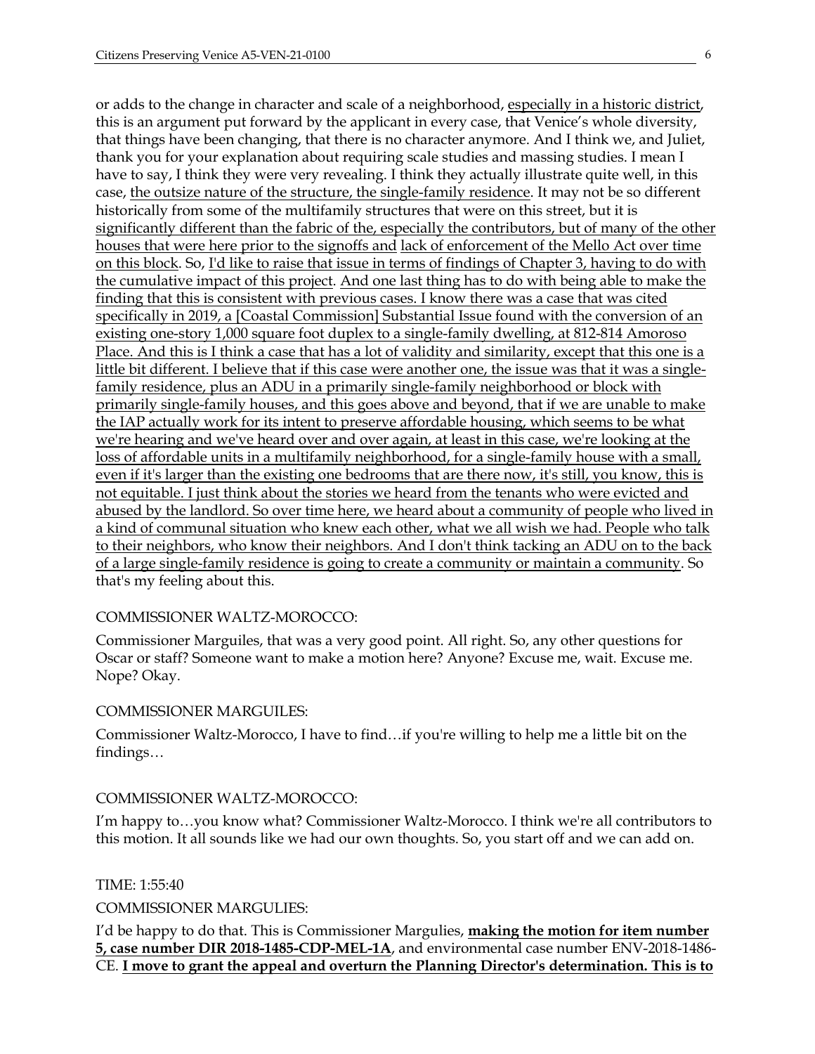or adds to the change in character and scale of a neighborhood, especially in a historic district, this is an argument put forward by the applicant in every case, that Venice's whole diversity, that things have been changing, that there is no character anymore. And I think we, and Juliet, thank you for your explanation about requiring scale studies and massing studies. I mean I have to say, I think they were very revealing. I think they actually illustrate quite well, in this case, the outsize nature of the structure, the single-family residence. It may not be so different historically from some of the multifamily structures that were on this street, but it is significantly different than the fabric of the, especially the contributors, but of many of the other houses that were here prior to the signoffs and lack of enforcement of the Mello Act over time on this block. So, I'd like to raise that issue in terms of findings of Chapter 3, having to do with the cumulative impact of this project. And one last thing has to do with being able to make the finding that this is consistent with previous cases. I know there was a case that was cited specifically in 2019, a [Coastal Commission] Substantial Issue found with the conversion of an existing one-story 1,000 square foot duplex to a single-family dwelling, at 812-814 Amoroso Place. And this is I think a case that has a lot of validity and similarity, except that this one is a little bit different. I believe that if this case were another one, the issue was that it was a singlefamily residence, plus an ADU in a primarily single-family neighborhood or block with primarily single-family houses, and this goes above and beyond, that if we are unable to make the IAP actually work for its intent to preserve affordable housing, which seems to be what we're hearing and we've heard over and over again, at least in this case, we're looking at the loss of affordable units in a multifamily neighborhood, for a single-family house with a small, even if it's larger than the existing one bedrooms that are there now, it's still, you know, this is not equitable. I just think about the stories we heard from the tenants who were evicted and abused by the landlord. So over time here, we heard about a community of people who lived in a kind of communal situation who knew each other, what we all wish we had. People who talk to their neighbors, who know their neighbors. And I don't think tacking an ADU on to the back of a large single-family residence is going to create a community or maintain a community. So that's my feeling about this.

#### COMMISSIONER WALTZ-MOROCCO:

Commissioner Marguiles, that was a very good point. All right. So, any other questions for Oscar or staff? Someone want to make a motion here? Anyone? Excuse me, wait. Excuse me. Nope? Okay.

#### COMMISSIONER MARGUILES:

Commissioner Waltz-Morocco, I have to find…if you're willing to help me a little bit on the findings…

#### COMMISSIONER WALTZ-MOROCCO:

I'm happy to…you know what? Commissioner Waltz-Morocco. I think we're all contributors to this motion. It all sounds like we had our own thoughts. So, you start off and we can add on.

TIME: 1:55:40

COMMISSIONER MARGULIES:

I'd be happy to do that. This is Commissioner Margulies, **making the motion for item number 5, case number DIR 2018-1485-CDP-MEL-1A**, and environmental case number ENV-2018-1486- CE. **I move to grant the appeal and overturn the Planning Director's determination. This is to**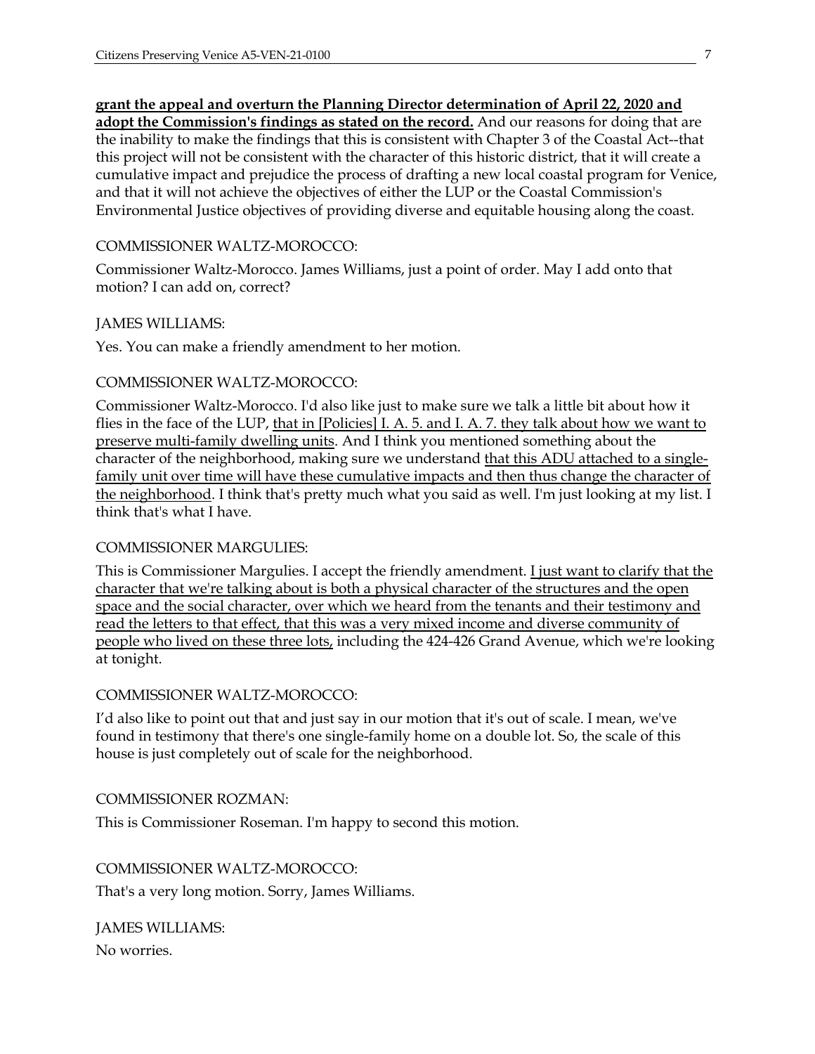#### **grant the appeal and overturn the Planning Director determination of April 22, 2020 and**

**adopt the Commission's findings as stated on the record.** And our reasons for doing that are the inability to make the findings that this is consistent with Chapter 3 of the Coastal Act--that this project will not be consistent with the character of this historic district, that it will create a cumulative impact and prejudice the process of drafting a new local coastal program for Venice, and that it will not achieve the objectives of either the LUP or the Coastal Commission's Environmental Justice objectives of providing diverse and equitable housing along the coast.

#### COMMISSIONER WALTZ-MOROCCO:

Commissioner Waltz-Morocco. James Williams, just a point of order. May I add onto that motion? I can add on, correct?

#### JAMES WILLIAMS:

Yes. You can make a friendly amendment to her motion.

#### COMMISSIONER WALTZ-MOROCCO:

Commissioner Waltz-Morocco. I'd also like just to make sure we talk a little bit about how it flies in the face of the LUP, that in [Policies] I. A. 5. and I. A. 7. they talk about how we want to preserve multi-family dwelling units. And I think you mentioned something about the character of the neighborhood, making sure we understand that this ADU attached to a singlefamily unit over time will have these cumulative impacts and then thus change the character of the neighborhood. I think that's pretty much what you said as well. I'm just looking at my list. I think that's what I have.

#### COMMISSIONER MARGULIES:

This is Commissioner Margulies. I accept the friendly amendment. I just want to clarify that the character that we're talking about is both a physical character of the structures and the open space and the social character, over which we heard from the tenants and their testimony and read the letters to that effect, that this was a very mixed income and diverse community of people who lived on these three lots, including the 424-426 Grand Avenue, which we're looking at tonight.

#### COMMISSIONER WALTZ-MOROCCO:

I'd also like to point out that and just say in our motion that it's out of scale. I mean, we've found in testimony that there's one single-family home on a double lot. So, the scale of this house is just completely out of scale for the neighborhood.

#### COMMISSIONER ROZMAN:

This is Commissioner Roseman. I'm happy to second this motion.

COMMISSIONER WALTZ-MOROCCO:

That's a very long motion. Sorry, James Williams.

JAMES WILLIAMS: No worries.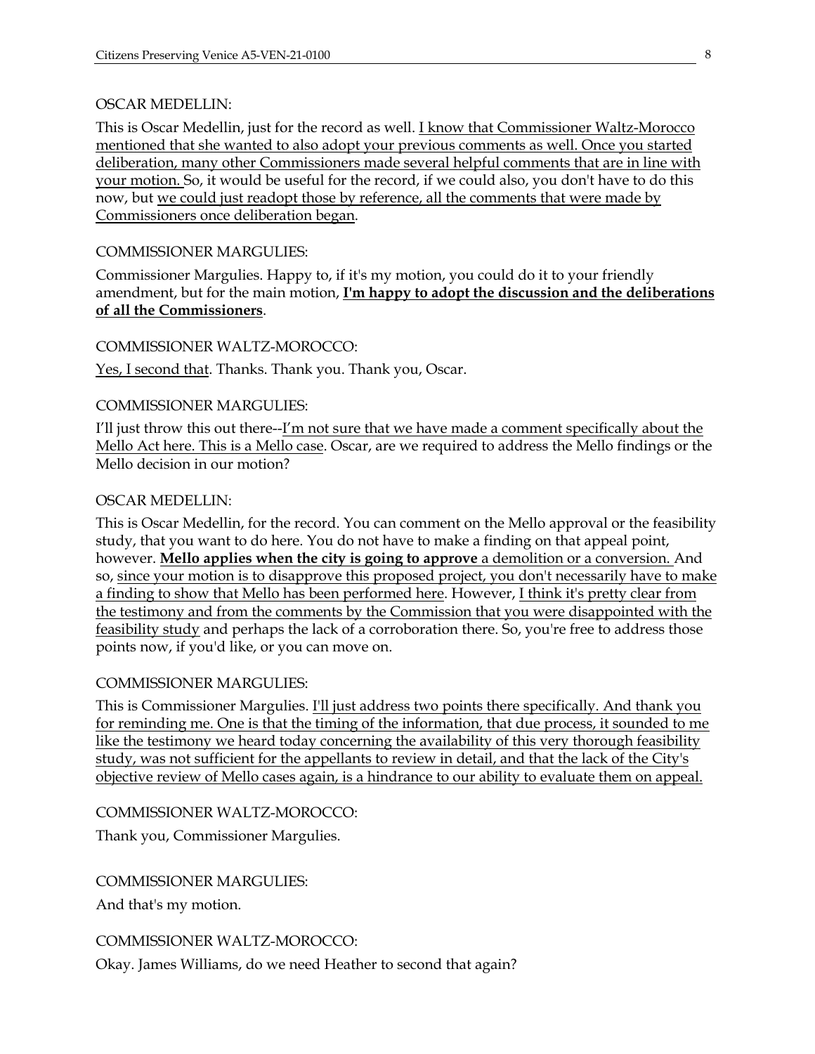#### OSCAR MEDELLIN:

This is Oscar Medellin, just for the record as well. I know that Commissioner Waltz-Morocco mentioned that she wanted to also adopt your previous comments as well. Once you started deliberation, many other Commissioners made several helpful comments that are in line with your motion. So, it would be useful for the record, if we could also, you don't have to do this now, but we could just readopt those by reference, all the comments that were made by Commissioners once deliberation began.

#### COMMISSIONER MARGULIES:

Commissioner Margulies. Happy to, if it's my motion, you could do it to your friendly amendment, but for the main motion, **I'm happy to adopt the discussion and the deliberations of all the Commissioners**.

#### COMMISSIONER WALTZ-MOROCCO:

Yes, I second that. Thanks. Thank you. Thank you, Oscar.

#### COMMISSIONER MARGULIES:

I'll just throw this out there--I'm not sure that we have made a comment specifically about the Mello Act here. This is a Mello case. Oscar, are we required to address the Mello findings or the Mello decision in our motion?

#### OSCAR MEDELLIN:

This is Oscar Medellin, for the record. You can comment on the Mello approval or the feasibility study, that you want to do here. You do not have to make a finding on that appeal point, however. **Mello applies when the city is going to approve** a demolition or a conversion. And so, since your motion is to disapprove this proposed project, you don't necessarily have to make a finding to show that Mello has been performed here. However, I think it's pretty clear from the testimony and from the comments by the Commission that you were disappointed with the feasibility study and perhaps the lack of a corroboration there. So, you're free to address those points now, if you'd like, or you can move on.

#### COMMISSIONER MARGULIES:

This is Commissioner Margulies. I'll just address two points there specifically. And thank you for reminding me. One is that the timing of the information, that due process, it sounded to me like the testimony we heard today concerning the availability of this very thorough feasibility study, was not sufficient for the appellants to review in detail, and that the lack of the City's objective review of Mello cases again, is a hindrance to our ability to evaluate them on appeal.

#### COMMISSIONER WALTZ-MOROCCO:

Thank you, Commissioner Margulies.

COMMISSIONER MARGULIES:

And that's my motion.

#### COMMISSIONER WALTZ-MOROCCO:

Okay. James Williams, do we need Heather to second that again?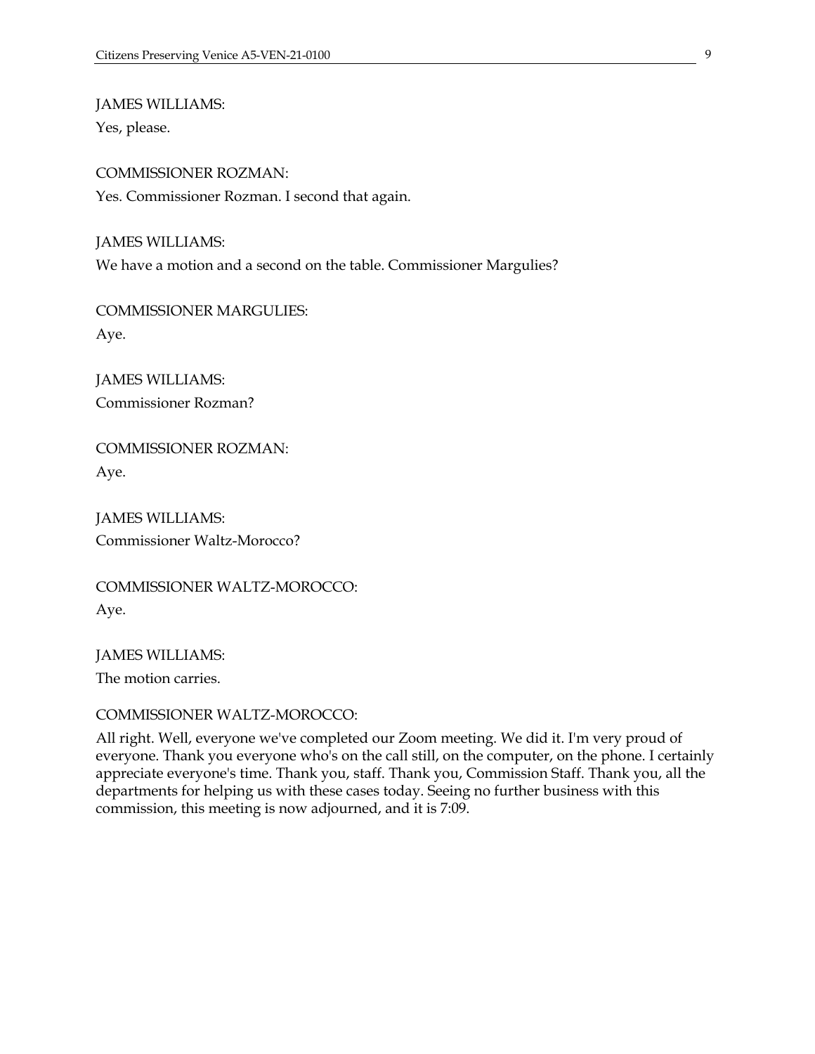JAMES WILLIAMS:

Yes, please.

COMMISSIONER ROZMAN: Yes. Commissioner Rozman. I second that again.

JAMES WILLIAMS: We have a motion and a second on the table. Commissioner Margulies?

COMMISSIONER MARGULIES: Aye.

JAMES WILLIAMS: Commissioner Rozman?

COMMISSIONER ROZMAN: Aye.

JAMES WILLIAMS: Commissioner Waltz-Morocco?

COMMISSIONER WALTZ-MOROCCO: Aye.

JAMES WILLIAMS: The motion carries.

COMMISSIONER WALTZ-MOROCCO:

All right. Well, everyone we've completed our Zoom meeting. We did it. I'm very proud of everyone. Thank you everyone who's on the call still, on the computer, on the phone. I certainly appreciate everyone's time. Thank you, staff. Thank you, Commission Staff. Thank you, all the departments for helping us with these cases today. Seeing no further business with this commission, this meeting is now adjourned, and it is 7:09.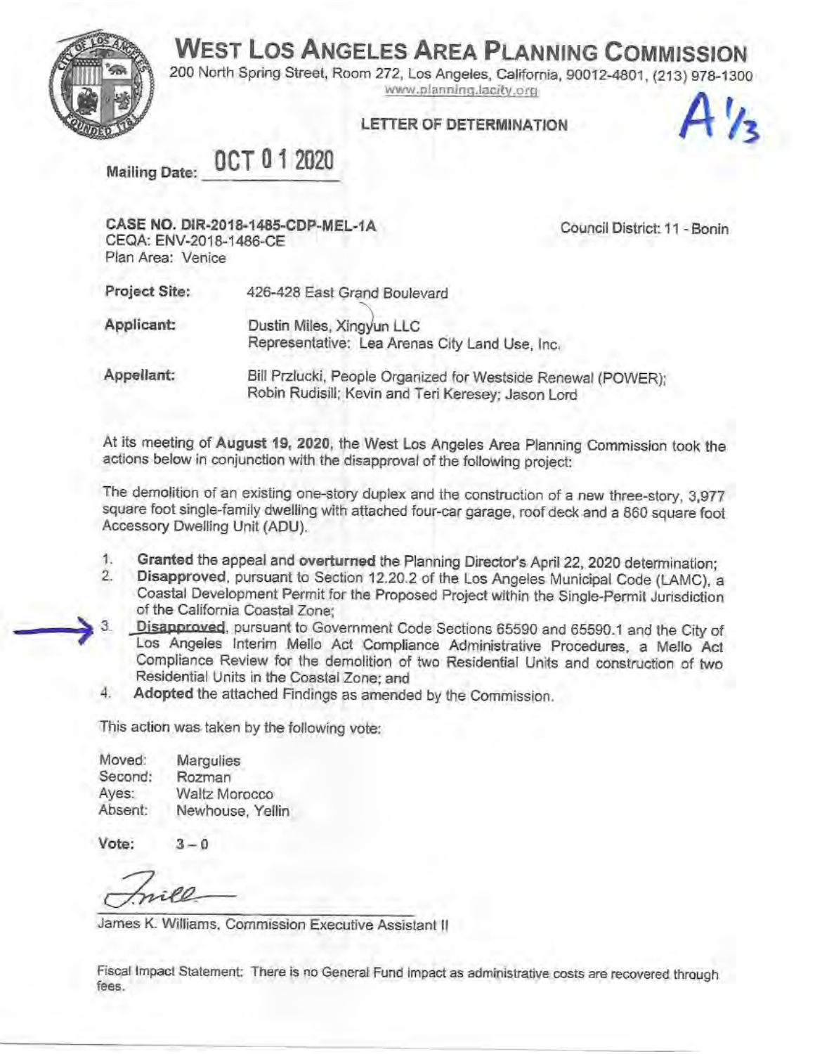**WEST LOS ANGELES AREA PLANNING COMMISSION** 



200 North Spring Street, Room 272, Los Angeles, California, 90012-4801, (213) 978-1300 www.planning.lacity.org

### LETTER OF DETERMINATION



OCT 01 2020 **Mailing Date:** 

CASE NO. DIR-2018-1485-CDP-MEL-1A CEQA: ENV-2018-1486-CE Plan Area: Venice

Council District: 11 - Bonin

Project Site: 426-428 East Grand Boulevard

Applicant: Dustin Miles, Xingyun LLC Representative: Lea Arenas City Land Use, Inc.

Appellant: Bill Przlucki, People Organized for Westside Renewal (POWER); Robin Rudisill; Kevin and Teri Keresey; Jason Lord

At its meeting of August 19, 2020, the West Los Angeles Area Planning Commission took the actions below in conjunction with the disapproval of the following project:

The demolition of an existing one-story duplex and the construction of a new three-story, 3,977 square foot single-family dwelling with attached four-car garage, roof deck and a 860 square foot Accessory Dwelling Unit (ADU).

- Granted the appeal and overturned the Planning Director's April 22, 2020 determination; 1.
- $2.$ Disapproved, pursuant to Section 12.20.2 of the Los Angeles Municipal Code (LAMC), a Coastal Development Permit for the Proposed Project within the Single-Permit Jurisdiction of the California Coastal Zone;
- Disapproved, pursuant to Government Code Sections 65590 and 65590.1 and the City of З. Los Angeles Interim Mello Act Compliance Administrative Procedures, a Mello Act Compliance Review for the demolition of two Residential Units and construction of two Residential Units in the Coastal Zone; and
- Adopted the attached Findings as amended by the Commission. 4.

This action was taken by the following vote:

Moved: Margulies Second: Rozman Ayes: Waltz Morocco Absent: Newhouse, Yellin

Vote:  $3 - 0$ 

James K. Williams, Commission Executive Assistant II

Fiscal Impact Statement: There is no General Fund impact as administrative costs are recovered through fees.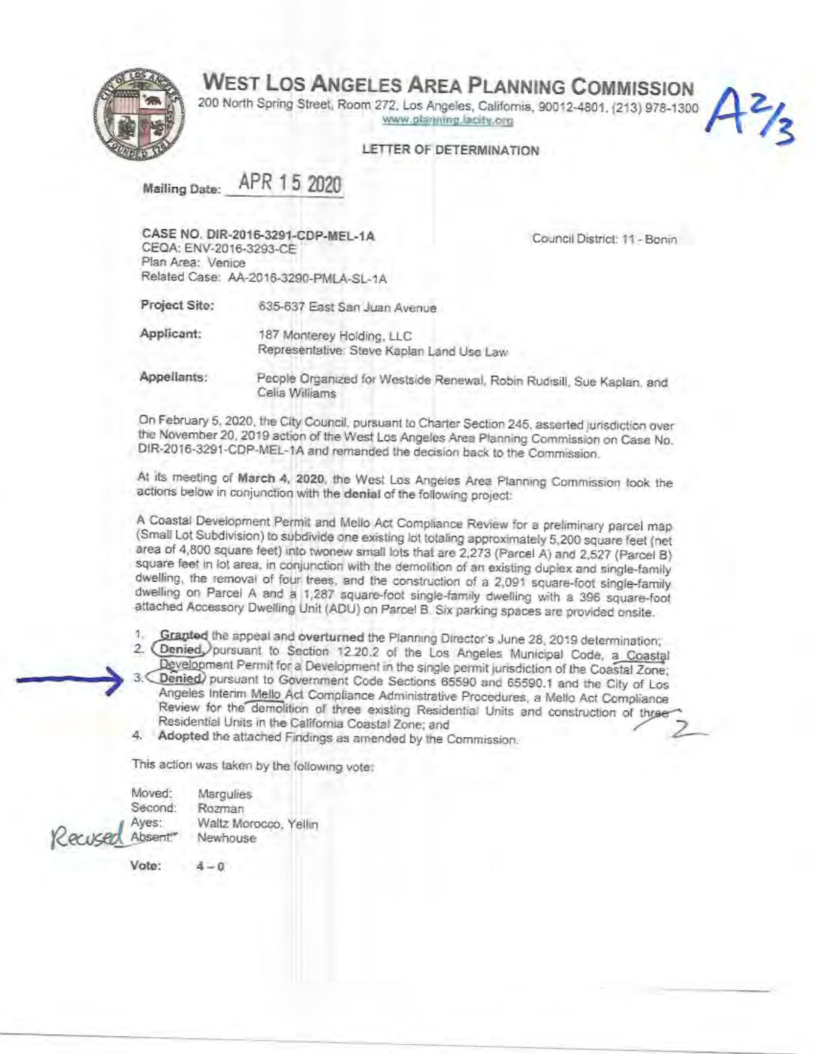### **WEST LOS ANGELES AREA PLANNING COMMISSION**



200 North Spring Street, Room 272, Los Angeles, California, 90012-4801, (213) 978-1300 www.planning.lacity.org

#### LETTER OF DETERMINATION

APR 15 2020 **Mailing Date:** 

CASE NO. DIR-2016-3291-CDP-MEL-1A CEQA: ENV-2016-3293-CE

Council District: 11 - Bonin

 $A^{2}/3$ 

Plan Area: Venice Related Case: AA-2016-3290-PMLA-SL-1A

Project Site: 635-637 East San Juan Avenue

Applicant: 187 Monterey Holding, LLC Representative: Steve Kaplan Land Use Law

Appellants: People Organized for Westside Renewal, Robin Rudisill, Sue Kaplan, and Celia Williams

On February 5, 2020, the City Council, pursuant to Charter Section 245, asserted jurisdiction over the November 20, 2019 action of the West Los Angeles Area Planning Commission on Case No. DIR-2016-3291-CDP-MEL-1A and remanded the decision back to the Commission.

At its meeting of March 4, 2020, the West Los Angeles Area Planning Commission took the actions below in conjunction with the denial of the following project:

A Coastal Development Permit and Mello Act Compliance Review for a preliminary parcel map (Small Lot Subdivision) to subdivide one existing lot totaling approximately 5,200 square feet (net area of 4,800 square feet) into twonew small lots that are 2,273 (Parcel A) and 2,527 (Parcel B) square feet in lot area, in conjunction with the demolition of an existing duplex and single-family dwelling, the removal of four trees, and the construction of a 2,091 square-foot single-family dwelling on Parcel A and a 1,287 square-foot single-family dwelling with a 396 square-foot attached Accessory Dwelling Unit (ADU) on Parcel B. Six parking spaces are provided onsite.

 $1 -$ Grapted the appeal and overturned the Planning Director's June 28, 2019 determination;

2. Denied pursuant to Section 12 20.2 of the Los Angeles Municipal Code, a Coastal Development Permit for a Development in the single permit jurisdiction of the Coastal Zone;

Denied) pursuant to Government Code Sections 65590 and 65590.1 and the City of Los Angeles Interim Mello Act Compliance Administrative Procedures, a Mello Act Compliance Review for the demolition of three existing Residential Units and construction of three Residential Units in the California Coastal Zone; and

4. Adopted the attached Findings as amended by the Commission.

This action was taken by the following vote:

Moved: Marqulies Second: Rozman Ayes: Waltz Morocco, Yellin Rarikar Absent" Newhouse

Vote:

 $4 - 0$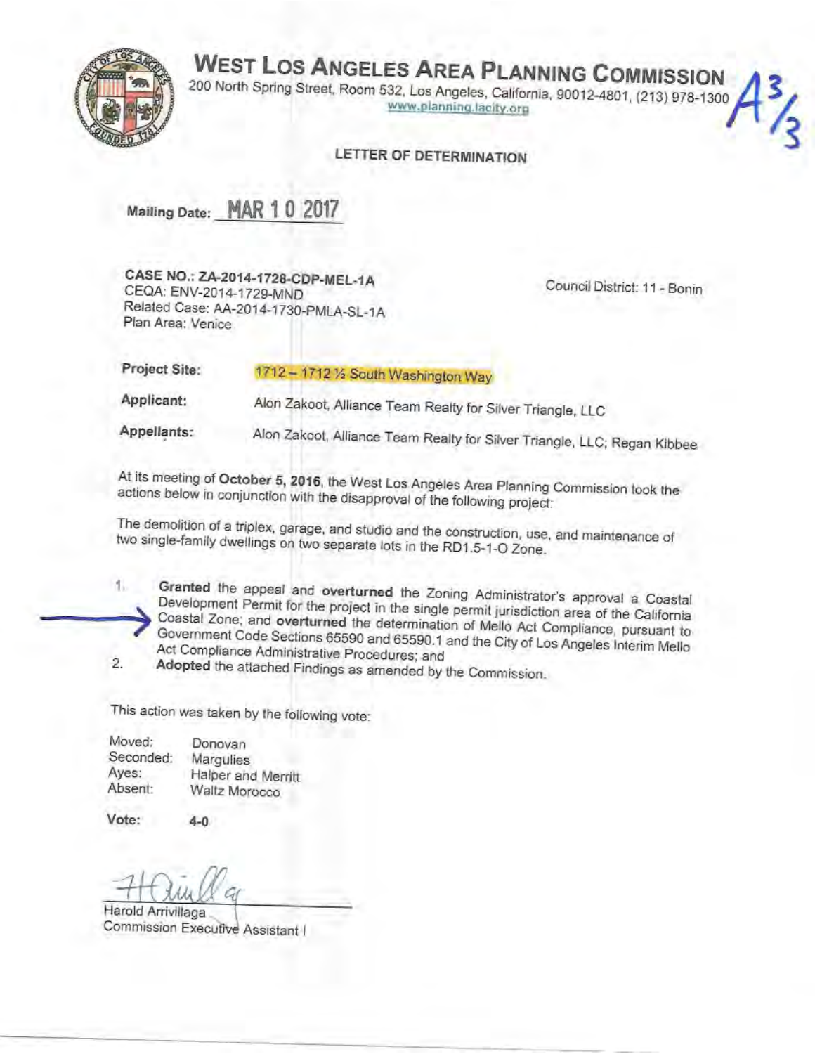# **WEST LOS ANGELES AREA PLANNING COMMISSION**



200 North Spring Street, Room 532, Los Angeles, California, 90012-4801, (213) 978-1300 www.planning.lacity.org

#### LETTER OF DETERMINATION

Mailing Date: MAR 1 0 2017

CASE NO.: ZA-2014-1728-CDP-MEL-1A CEQA: ENV-2014-1729-MND Related Case: AA-2014-1730-PMLA-SL-1A Plan Area: Venice

Council District: 11 - Bonin

| Project Site: | 1712 - 1712 1/2 South Washington Way                       |
|---------------|------------------------------------------------------------|
| Applicant:    | Alon Zakoot, Alliance Team Realty for Silver Triangle, LLC |

Alon Zakoot, Alliance Team Realty for Silver Triangle, LLC; Regan Kibbee Appellants:

At its meeting of October 5, 2016, the West Los Angeles Area Planning Commission took the actions below in conjunction with the disapproval of the following project:

The demolition of a triplex, garage, and studio and the construction, use, and maintenance of two single-family dwellings on two separate lots in the RD1.5-1-O Zone.

- 1. Granted the appeal and overturned the Zoning Administrator's approval a Coastal Development Permit for the project in the single permit jurisdiction area of the California Coastal Zone; and overturned the determination of Mello Act Compliance, pursuant to Government Code Sections 65590 and 65590.1 and the City of Los Angeles Interim Mello Act Compliance Administrative Procedures; and
- Adopted the attached Findings as amended by the Commission.  $\overline{2}$ .

This action was taken by the following vote:

| Donovan            |
|--------------------|
| Margulies          |
| Halper and Merritt |
| Waltz Morocco      |
|                    |

Vote:

4-0

Harold Arrivillaga Commission Executive Assistant I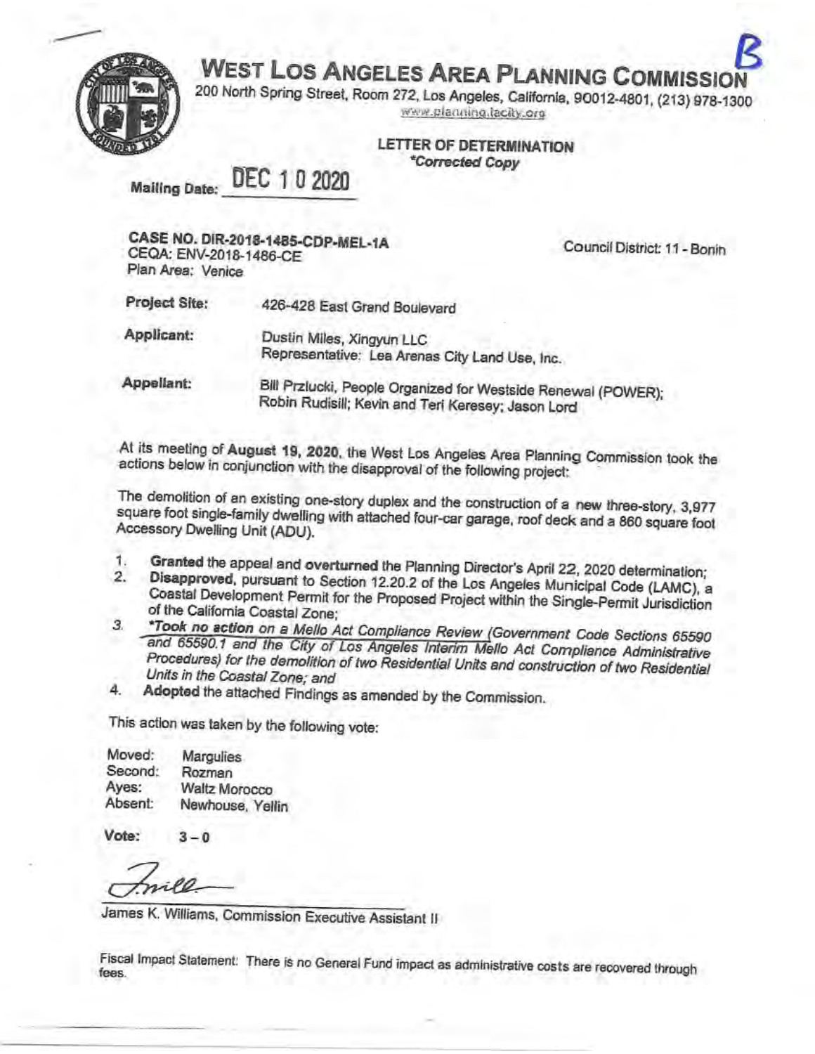**WEST LOS ANGELES AREA PLANNING COMMISSIO** 



200 North Spring Street, Room 272, Los Angeles, California, 90012-4801, (213) 978-1300 www.planning.lacity.org

**LETTER OF DETERMINATION** *\*Corrected Copy* 

DEC 10 2020 **Mailing Date:** 

CASE NO. DIR-2018-1485-CDP-MEL-1A CEQA: ENV-2018-1486-CE Plan Area: Venice

Council District: 11 - Bonin

Project Site: 426-428 East Grand Boulevard Applicant: Dustin Miles, Xingyun LLC Representative: Lea Arenas City Land Use, Inc. Appellant: Bill Przlucki, People Organized for Westside Renewal (POWER); Robin Rudisill; Kevin and Teri Keresey; Jason Lord

At its meeting of August 19, 2020, the West Los Angeles Area Planning Commission took the actions below in conjunction with the disapproval of the following project:

The demolition of an existing one-story duplex and the construction of a new three-story, 3,977 square foot single-family dwelling with attached four-car garage, roof deck and a 860 square foot Accessory Dwelling Unit (ADU).

- Granted the appeal and overturned the Planning Director's April 22, 2020 determination; 1.
- Disapproved, pursuant to Section 12.20.2 of the Los Angeles Municipal Code (LAMC), a 2. Coastal Development Permit for the Proposed Project within the Single-Permit Jurisdiction of the California Coastal Zone:
- \*Took no action on a Mello Act Compliance Review (Government Code Sections 65590 3 and 65590.1 and the City of Los Angeles Interim Mello Act Compliance Administrative Procedures) for the demolition of two Residential Units and construction of two Residential Units in the Coastal Zone; and
- 4. Adopted the attached Findings as amended by the Commission.

This action was taken by the following vote:

| Moved:  | Margulies            |
|---------|----------------------|
| Second: | Rozman               |
| Ayes:   | <b>Waltz Morocco</b> |
| Absent: | Newhouse, Yellin     |

Vote: - 0

James K. Williams, Commission Executive Assistant II

Fiscal Impact Statement: There is no General Fund impact as administrative costs are recovered through fees.